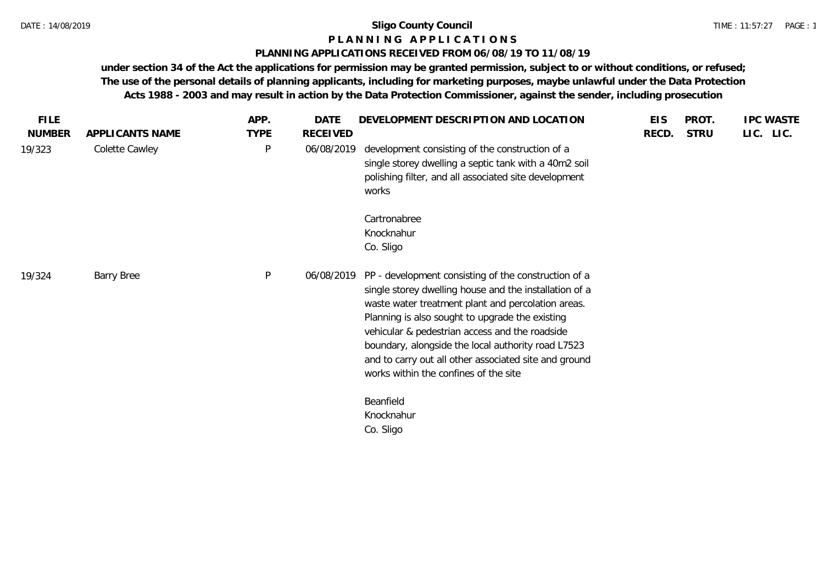### **P L A N N I N G A P P L I C A T I O N S**

#### **PLANNING APPLICATIONS RECEIVED FROM 06/08/19 TO 11/08/19**

**under section 34 of the Act the applications for permission may be granted permission, subject to or without conditions, or refused; The use of the personal details of planning applicants, including for marketing purposes, maybe unlawful under the Data Protection Acts 1988 - 2003 and may result in action by the Data Protection Commissioner, against the sender, including prosecution**

| <b>FILE</b>   |                   | APP.        | DATE       | DEVELOPMENT DESCRIPTION AND LOCATION                                                                                                                                                                                                                                                                                                                                                                                              | <b>EIS</b> | PROT.       | <b>IPC WASTE</b> |
|---------------|-------------------|-------------|------------|-----------------------------------------------------------------------------------------------------------------------------------------------------------------------------------------------------------------------------------------------------------------------------------------------------------------------------------------------------------------------------------------------------------------------------------|------------|-------------|------------------|
| <b>NUMBER</b> | APPLICANTS NAME   | <b>TYPE</b> | RECEIVED   |                                                                                                                                                                                                                                                                                                                                                                                                                                   | RECD.      | <b>STRU</b> | LIC. LIC.        |
| 19/323        | Colette Cawley    | $\sf P$     | 06/08/2019 | development consisting of the construction of a<br>single storey dwelling a septic tank with a 40m2 soil<br>polishing filter, and all associated site development<br>works                                                                                                                                                                                                                                                        |            |             |                  |
|               |                   |             |            | Cartronabree<br>Knocknahur<br>Co. Sligo                                                                                                                                                                                                                                                                                                                                                                                           |            |             |                  |
| 19/324        | <b>Barry Bree</b> | $\sf P$     | 06/08/2019 | PP - development consisting of the construction of a<br>single storey dwelling house and the installation of a<br>waste water treatment plant and percolation areas.<br>Planning is also sought to upgrade the existing<br>vehicular & pedestrian access and the roadside<br>boundary, alongside the local authority road L7523<br>and to carry out all other associated site and ground<br>works within the confines of the site |            |             |                  |
|               |                   |             |            | Beanfield<br>Knocknahur<br>Co. Sligo                                                                                                                                                                                                                                                                                                                                                                                              |            |             |                  |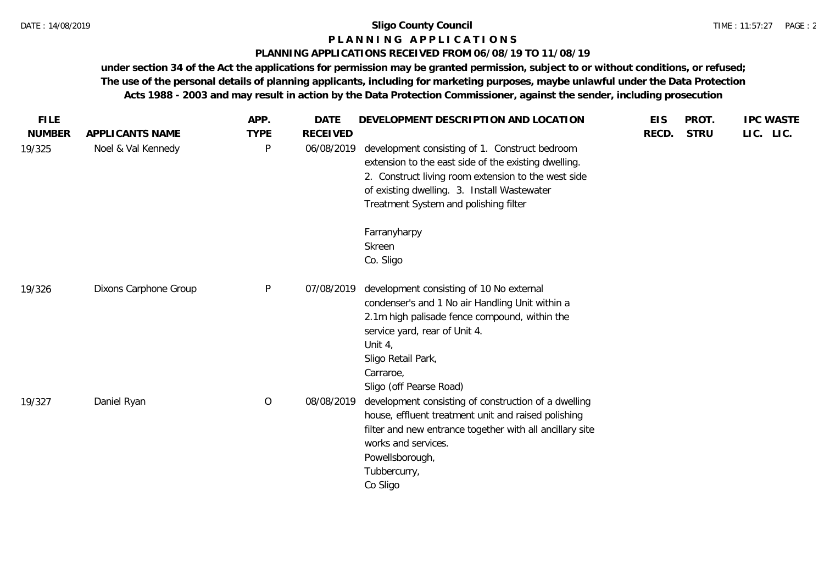### **P L A N N I N G A P P L I C A T I O N S**

### **PLANNING APPLICATIONS RECEIVED FROM 06/08/19 TO 11/08/19**

**under section 34 of the Act the applications for permission may be granted permission, subject to or without conditions, or refused; The use of the personal details of planning applicants, including for marketing purposes, maybe unlawful under the Data Protection Acts 1988 - 2003 and may result in action by the Data Protection Commissioner, against the sender, including prosecution**

| <b>FILE</b>   |                       | APP.        | <b>DATE</b>     | DEVELOPMENT DESCRIPTION AND LOCATION                                                                                                                                                                                                                     | <b>EIS</b> | PROT.       | <b>IPC WASTE</b> |
|---------------|-----------------------|-------------|-----------------|----------------------------------------------------------------------------------------------------------------------------------------------------------------------------------------------------------------------------------------------------------|------------|-------------|------------------|
| <b>NUMBER</b> | APPLICANTS NAME       | <b>TYPE</b> | <b>RECEIVED</b> |                                                                                                                                                                                                                                                          | RECD.      | <b>STRU</b> | LIC. LIC.        |
| 19/325        | Noel & Val Kennedy    | P           | 06/08/2019      | development consisting of 1. Construct bedroom<br>extension to the east side of the existing dwelling.<br>2. Construct living room extension to the west side<br>of existing dwelling. 3. Install Wastewater<br>Treatment System and polishing filter    |            |             |                  |
|               |                       |             |                 | Farranyharpy<br>Skreen<br>Co. Sligo                                                                                                                                                                                                                      |            |             |                  |
| 19/326        | Dixons Carphone Group | P           | 07/08/2019      | development consisting of 10 No external<br>condenser's and 1 No air Handling Unit within a<br>2.1m high palisade fence compound, within the<br>service yard, rear of Unit 4.<br>Unit $4,$<br>Sligo Retail Park,<br>Carraroe,<br>Sligo (off Pearse Road) |            |             |                  |
| 19/327        | Daniel Ryan           | $\circ$     | 08/08/2019      | development consisting of construction of a dwelling<br>house, effluent treatment unit and raised polishing<br>filter and new entrance together with all ancillary site<br>works and services.<br>Powellsborough,<br>Tubbercurry,<br>Co Sligo            |            |             |                  |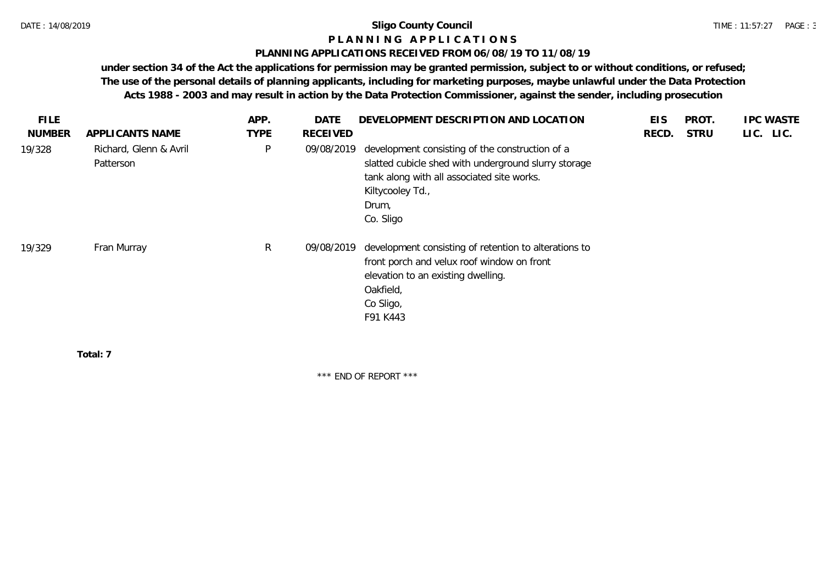### **P L A N N I N G A P P L I C A T I O N S**

### **PLANNING APPLICATIONS RECEIVED FROM 06/08/19 TO 11/08/19**

**under section 34 of the Act the applications for permission may be granted permission, subject to or without conditions, or refused; The use of the personal details of planning applicants, including for marketing purposes, maybe unlawful under the Data Protection Acts 1988 - 2003 and may result in action by the Data Protection Commissioner, against the sender, including prosecution**

| <b>FILE</b>   |                                     | APP.         | <b>DATE</b> | DEVELOPMENT DESCRIPTION AND LOCATION                                                                                                                                                            | <b>EIS</b> | PROT.       | <b>IPC WASTE</b> |
|---------------|-------------------------------------|--------------|-------------|-------------------------------------------------------------------------------------------------------------------------------------------------------------------------------------------------|------------|-------------|------------------|
| <b>NUMBER</b> | APPLICANTS NAME                     | <b>TYPE</b>  | RECEIVED    |                                                                                                                                                                                                 | RECD.      | <b>STRU</b> | LIC. LIC.        |
| 19/328        | Richard, Glenn & Avril<br>Patterson | P            | 09/08/2019  | development consisting of the construction of a<br>slatted cubicle shed with underground slurry storage<br>tank along with all associated site works.<br>Kiltycooley Td.,<br>Drum,<br>Co. Sligo |            |             |                  |
| 19/329        | Fran Murray                         | $\mathsf{R}$ | 09/08/2019  | development consisting of retention to alterations to<br>front porch and velux roof window on front<br>elevation to an existing dwelling.<br>Oakfield,<br>Co Sligo,<br>F91 K443                 |            |             |                  |
|               | Total: 7                            |              |             |                                                                                                                                                                                                 |            |             |                  |

\*\*\* END OF REPORT \*\*\*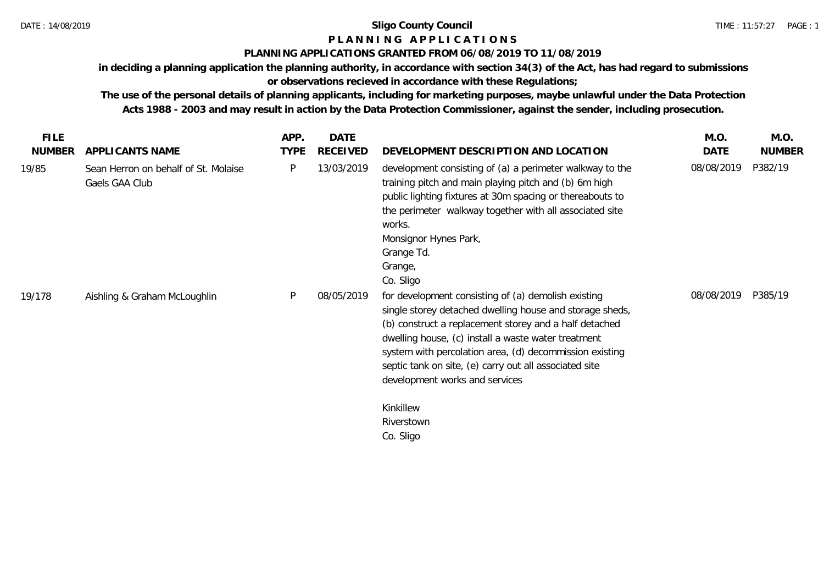# **P L A N N I N G A P P L I C A T I O N S**

## **PLANNING APPLICATIONS GRANTED FROM 06/08/2019 TO 11/08/2019**

**in deciding a planning application the planning authority, in accordance with section 34(3) of the Act, has had regard to submissions or observations recieved in accordance with these Regulations;**

**The use of the personal details of planning applicants, including for marketing purposes, maybe unlawful under the Data Protection Acts 1988 - 2003 and may result in action by the Data Protection Commissioner, against the sender, including prosecution.**

| <b>FILE</b>   |                                                        | APP.        | DATE            |                                                                                                                                                                                                                                                                                                                                                                                                                                 | M.O.       | M.O.          |
|---------------|--------------------------------------------------------|-------------|-----------------|---------------------------------------------------------------------------------------------------------------------------------------------------------------------------------------------------------------------------------------------------------------------------------------------------------------------------------------------------------------------------------------------------------------------------------|------------|---------------|
| <b>NUMBER</b> | APPLICANTS NAME                                        | <b>TYPE</b> | <b>RECEIVED</b> | DEVELOPMENT DESCRIPTION AND LOCATION                                                                                                                                                                                                                                                                                                                                                                                            | DATE       | <b>NUMBER</b> |
| 19/85         | Sean Herron on behalf of St. Molaise<br>Gaels GAA Club | P           | 13/03/2019      | development consisting of (a) a perimeter walkway to the<br>training pitch and main playing pitch and (b) 6m high<br>public lighting fixtures at 30m spacing or thereabouts to<br>the perimeter walkway together with all associated site<br>works.<br>Monsignor Hynes Park,<br>Grange Td.<br>Grange,<br>Co. Sligo                                                                                                              | 08/08/2019 | P382/19       |
| 19/178        | Aishling & Graham McLoughlin                           | P           | 08/05/2019      | for development consisting of (a) demolish existing<br>single storey detached dwelling house and storage sheds,<br>(b) construct a replacement storey and a half detached<br>dwelling house, (c) install a waste water treatment<br>system with percolation area, (d) decommission existing<br>septic tank on site, (e) carry out all associated site<br>development works and services<br>Kinkillew<br>Riverstown<br>Co. Sligo | 08/08/2019 | P385/19       |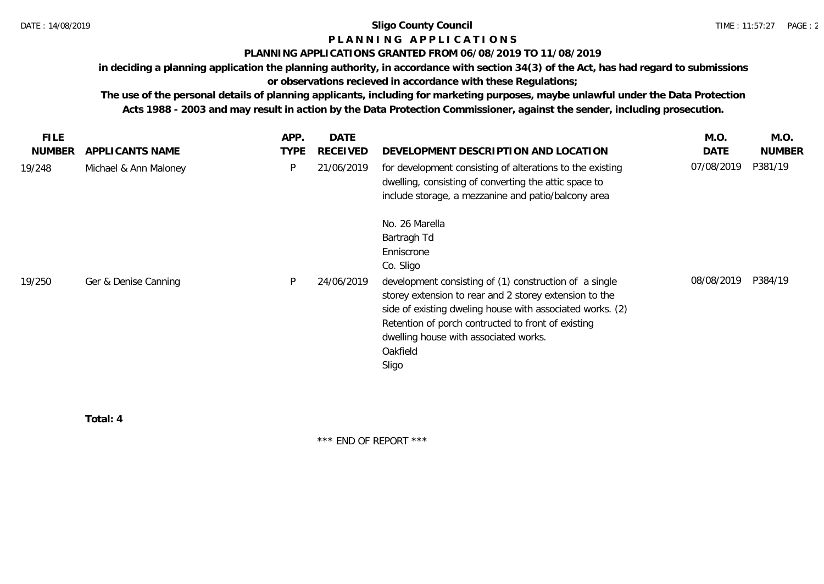# **P L A N N I N G A P P L I C A T I O N S**

### **PLANNING APPLICATIONS GRANTED FROM 06/08/2019 TO 11/08/2019**

**in deciding a planning application the planning authority, in accordance with section 34(3) of the Act, has had regard to submissions or observations recieved in accordance with these Regulations;**

**The use of the personal details of planning applicants, including for marketing purposes, maybe unlawful under the Data Protection Acts 1988 - 2003 and may result in action by the Data Protection Commissioner, against the sender, including prosecution.**

| FILE.<br><b>NUMBER</b> | APPLICANTS NAME       | APP.<br><b>TYPE</b> | <b>DATE</b><br><b>RECEIVED</b> | DEVELOPMENT DESCRIPTION AND LOCATION                                                                                                                                                                                                                                                                                                                          | M.O.<br>DATE | M.O.<br><b>NUMBER</b> |
|------------------------|-----------------------|---------------------|--------------------------------|---------------------------------------------------------------------------------------------------------------------------------------------------------------------------------------------------------------------------------------------------------------------------------------------------------------------------------------------------------------|--------------|-----------------------|
| 19/248                 | Michael & Ann Maloney | P                   | 21/06/2019                     | for development consisting of alterations to the existing<br>dwelling, consisting of converting the attic space to<br>include storage, a mezzanine and patio/balcony area                                                                                                                                                                                     | 07/08/2019   | P381/19               |
| 19/250                 | Ger & Denise Canning  |                     | 24/06/2019                     | No. 26 Marella<br>Bartragh Td<br>Enniscrone<br>Co. Sligo<br>development consisting of (1) construction of a single<br>storey extension to rear and 2 storey extension to the<br>side of existing dweling house with associated works. (2)<br>Retention of porch contructed to front of existing<br>dwelling house with associated works.<br>Oakfield<br>Sligo | 08/08/2019   | P384/19               |

**Total: 4**

\*\*\* END OF REPORT \*\*\*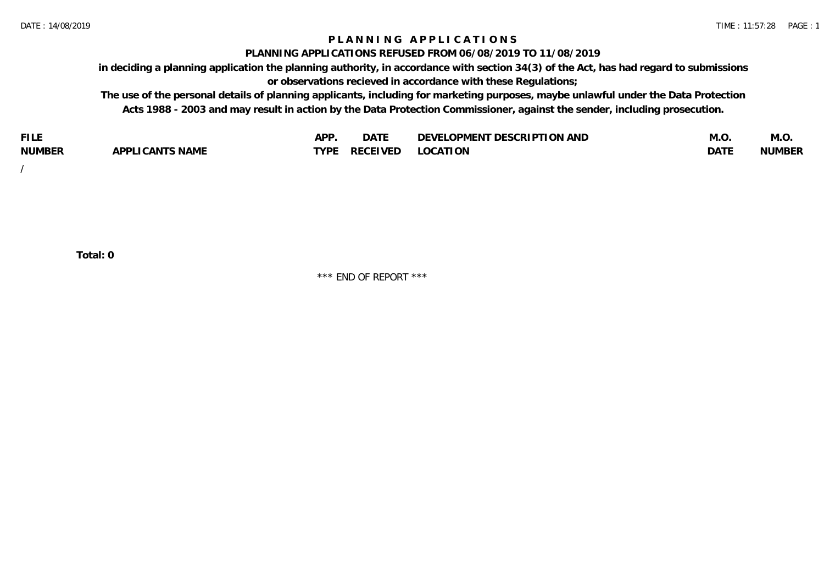## **P L A N N I N G A P P L I C A T I O N S**

#### **PLANNING APPLICATIONS REFUSED FROM 06/08/2019 TO 11/08/2019**

**in deciding a planning application the planning authority, in accordance with section 34(3) of the Act, has had regard to submissions or observations recieved in accordance with these Regulations;**

**The use of the personal details of planning applicants, including for marketing purposes, maybe unlawful under the Data Protection Acts 1988 - 2003 and may result in action by the Data Protection Commissioner, against the sender, including prosecution.**

| <b>FILE</b>   |                            | <b>ADD</b><br>¬ เ⊥ | $\Gamma$ $\Lambda$ $\Gamma$<br>DAI | OPMENT DESCRIPTION AND<br>$\sim$ $\sim$<br>)FVF' | IVI.U            | M.O           |
|---------------|----------------------------|--------------------|------------------------------------|--------------------------------------------------|------------------|---------------|
| <b>NUMBER</b> | <b>ICANTS NAME</b><br>APP' | <b>TYPF</b>        | <b>RECEIVED</b>                    | <b>LOCATION</b>                                  | DAT <sup>®</sup> | <b>NUMBEF</b> |

/

**Total: 0**

\*\*\* END OF REPORT \*\*\*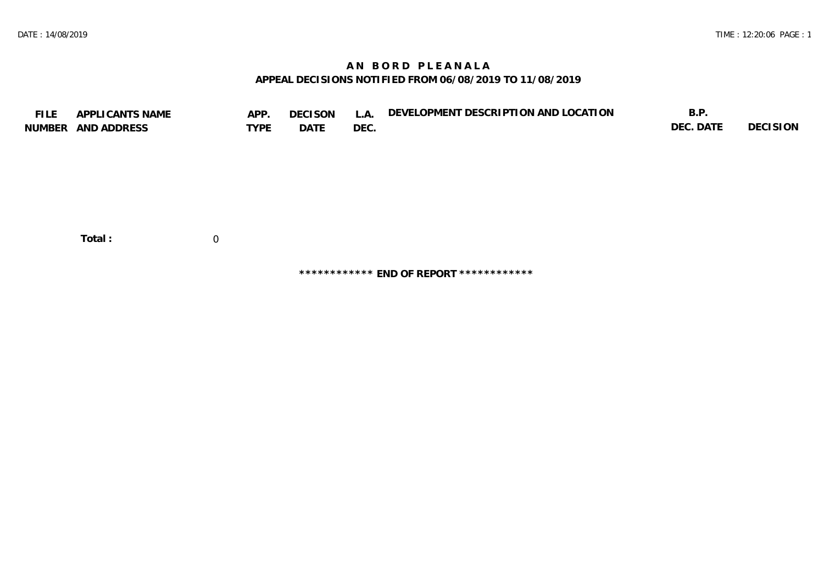# **A N B O R D P L E A N A L A APPEAL DECISIONS NOTIFIED FROM 06/08/2019 TO 11/08/2019**

| <b>FILE</b> | APPLICANTS NAME<br>NUMBER AND ADDRESS | APP.<br><b>TYPE</b> | <b>DECISON</b><br>DATE | L.A.<br>DEC. | DEVELOPMENT DESCRIPTION AND LOCATION | B.P.<br>DEC. DATE | <b>DECISION</b> |
|-------------|---------------------------------------|---------------------|------------------------|--------------|--------------------------------------|-------------------|-----------------|
|             | Total:                                | 0                   |                        |              |                                      |                   |                 |

**\*\*\*\*\*\*\*\*\*\*\*\* END OF REPORT \*\*\*\*\*\*\*\*\*\*\*\***